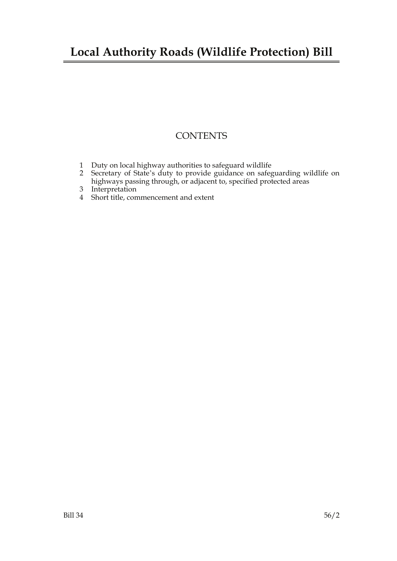### **Local Authority Roads (Wildlife Protection) Bill**

### **CONTENTS**

- 1 Duty on local highway authorities to safeguard wildlife
- 2 Secretary of State's duty to provide guidance on safeguarding wildlife on highways passing through, or adjacent to, specified protected areas
- 3 Interpretation
- 4 Short title, commencement and extent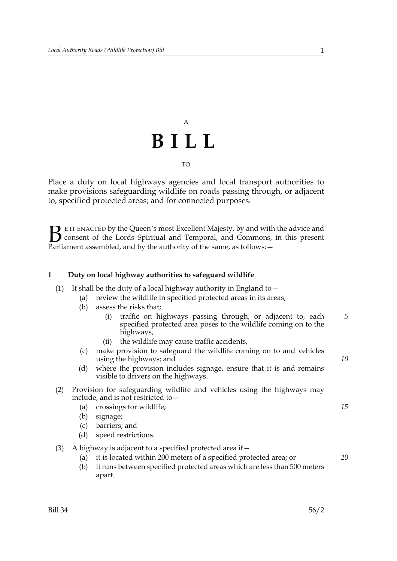# A **BILL** TO

Place a duty on local highways agencies and local transport authorities to make provisions safeguarding wildlife on roads passing through, or adjacent to, specified protected areas; and for connected purposes.

E IT ENACTED by the Queen's most Excellent Majesty, by and with the advice and consent of the Lords Spiritual and Temporal, and Commons, in this present Parliament assembled, and by the authority of the same, as follows: - $B<sub>parti</sub>$ 

#### **1 Duty on local highway authorities to safeguard wildlife**

(1) It shall be the duty of a local highway authority in England to  $-$ 

|     | (a)                                                                                                              | review the wildlife in specified protected areas in its areas;                                                                                          |    |
|-----|------------------------------------------------------------------------------------------------------------------|---------------------------------------------------------------------------------------------------------------------------------------------------------|----|
|     | (b)                                                                                                              | assess the risks that;                                                                                                                                  |    |
|     |                                                                                                                  | traffic on highways passing through, or adjacent to, each<br>(i)<br>specified protected area poses to the wildlife coming on to the<br>highways,        | 5  |
|     |                                                                                                                  | the wildlife may cause traffic accidents,<br>(ii)                                                                                                       |    |
|     | (c)                                                                                                              | make provision to safeguard the wildlife coming on to and vehicles<br>using the highways; and                                                           | 10 |
|     | (d)                                                                                                              | where the provision includes signage, ensure that it is and remains<br>visible to drivers on the highways.                                              |    |
| (2) | Provision for safeguarding wildlife and vehicles using the highways may<br>include, and is not restricted to $-$ |                                                                                                                                                         |    |
|     | (a)                                                                                                              | crossings for wildlife;                                                                                                                                 | 15 |
|     | (b)                                                                                                              | signage;                                                                                                                                                |    |
|     | (c)                                                                                                              | barriers; and                                                                                                                                           |    |
|     | (d)                                                                                                              | speed restrictions.                                                                                                                                     |    |
| (3) | A highway is adjacent to a specified protected area if –                                                         |                                                                                                                                                         |    |
|     | (a)<br>(b)                                                                                                       | it is located within 200 meters of a specified protected area; or<br>it runs between specified protected areas which are less than 500 meters<br>apart. | 20 |
|     |                                                                                                                  |                                                                                                                                                         |    |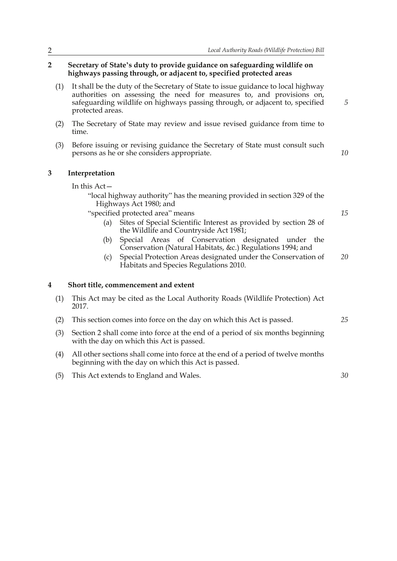#### **2 Secretary of State's duty to provide guidance on safeguarding wildlife on highways passing through, or adjacent to, specified protected areas**

- (1) It shall be the duty of the Secretary of State to issue guidance to local highway authorities on assessing the need for measures to, and provisions on, safeguarding wildlife on highways passing through, or adjacent to, specified protected areas.
- (2) The Secretary of State may review and issue revised guidance from time to time.
- (3) Before issuing or revising guidance the Secretary of State must consult such persons as he or she considers appropriate.

#### **3 Interpretation**

In this Act—

"local highway authority" has the meaning provided in section 329 of the Highways Act 1980; and

"specified protected area" means

- (a) Sites of Special Scientific Interest as provided by section 28 of the Wildlife and Countryside Act 1981;
- (b) Special Areas of Conservation designated under the Conservation (Natural Habitats, &c.) Regulations 1994; and
- (c) Special Protection Areas designated under the Conservation of Habitats and Species Regulations 2010. *20*

#### **4 Short title, commencement and extent**

- (1) This Act may be cited as the Local Authority Roads (Wildlife Protection) Act 2017.
- (2) This section comes into force on the day on which this Act is passed.
- (3) Section 2 shall come into force at the end of a period of six months beginning with the day on which this Act is passed.
- (4) All other sections shall come into force at the end of a period of twelve months beginning with the day on which this Act is passed.
- (5) This Act extends to England and Wales.

*5*

*15*

*10*

*30*